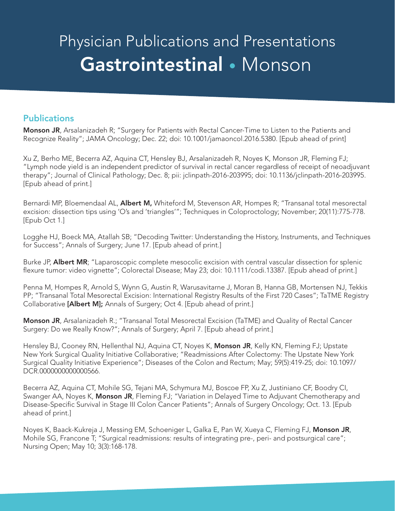## Physician Publications and Presentations Gastrointestinal • Monson

## **Publications**

Monson JR, Arsalanizadeh R; "Surgery for Patients with Rectal Cancer-Time to Listen to the Patients and Recognize Reality"; JAMA Oncology; Dec. 22; doi: 10.1001/jamaoncol.2016.5380. [Epub ahead of print]

Xu Z, Berho ME, Becerra AZ, Aquina CT, Hensley BJ, Arsalanizadeh R, Noyes K, Monson JR, Fleming FJ; "Lymph node yield is an independent predictor of survival in rectal cancer regardless of receipt of neoadjuvant therapy"; Journal of Clinical Pathology; Dec. 8; pii: jclinpath-2016-203995; doi: 10.1136/jclinpath-2016-203995. [Epub ahead of print.]

Bernardi MP, Bloemendaal AL, **Albert M,** Whiteford M, Stevenson AR, Hompes R; "Transanal total mesorectal excision: dissection tips using 'O's and 'triangles'"; Techniques in Coloproctology; November; 20(11):775-778. [Epub Oct 1.]

Logghe HJ, Boeck MA, Atallah SB; "Decoding Twitter: Understanding the History, Instruments, and Techniques for Success"; Annals of Surgery; June 17. [Epub ahead of print.]

Burke JP, **Albert MR**; "Laparoscopic complete mesocolic excision with central vascular dissection for splenic flexure tumor: video vignette"; Colorectal Disease; May 23; doi: 10.1111/codi.13387. [Epub ahead of print.]

Penna M, Hompes R, Arnold S, Wynn G, Austin R, Warusavitarne J, Moran B, Hanna GB, Mortensen NJ, Tekkis PP; "Transanal Total Mesorectal Excision: International Registry Results of the First 720 Cases"; TaTME Registry Collaborative [Albert M]; Annals of Surgery; Oct 4. [Epub ahead of print.]

Monson JR, Arsalanizadeh R.; "Transanal Total Mesorectal Excision (TaTME) and Quality of Rectal Cancer Surgery: Do we Really Know?"; Annals of Surgery; April 7. [Epub ahead of print.]

Hensley BJ, Cooney RN, Hellenthal NJ, Aquina CT, Noyes K, Monson JR, Kelly KN, Fleming FJ; Upstate New York Surgical Quality Initiative Collaborative; "Readmissions After Colectomy: The Upstate New York Surgical Quality Initiative Experience"; Diseases of the Colon and Rectum; May; 59(5):419-25; doi: 10.1097/ DCR.0000000000000566.

Becerra AZ, Aquina CT, Mohile SG, Tejani MA, Schymura MJ, Boscoe FP, Xu Z, Justiniano CF, Boodry CI, Swanger AA, Noyes K, Monson JR, Fleming FJ; "Variation in Delayed Time to Adjuvant Chemotherapy and Disease-Specific Survival in Stage III Colon Cancer Patients"; Annals of Surgery Oncology; Oct. 13. [Epub ahead of print.]

Noyes K, Baack-Kukreja J, Messing EM, Schoeniger L, Galka E, Pan W, Xueya C, Fleming FJ, Monson JR, Mohile SG, Francone T; "Surgical readmissions: results of integrating pre-, peri- and postsurgical care"; Nursing Open; May 10; 3(3):168-178.